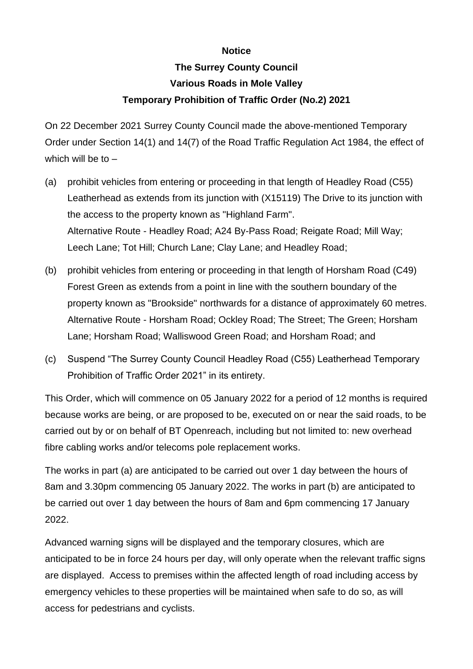## **Notice**

## **The Surrey County Council Various Roads in Mole Valley Temporary Prohibition of Traffic Order (No.2) 2021**

On 22 December 2021 Surrey County Council made the above-mentioned Temporary Order under Section 14(1) and 14(7) of the Road Traffic Regulation Act 1984, the effect of which will be to  $-$ 

- (a) prohibit vehicles from entering or proceeding in that length of Headley Road (C55) Leatherhead as extends from its junction with (X15119) The Drive to its junction with the access to the property known as "Highland Farm". Alternative Route - Headley Road; A24 By-Pass Road; Reigate Road; Mill Way; Leech Lane; Tot Hill; Church Lane; Clay Lane; and Headley Road;
- (b) prohibit vehicles from entering or proceeding in that length of Horsham Road (C49) Forest Green as extends from a point in line with the southern boundary of the property known as "Brookside" northwards for a distance of approximately 60 metres. Alternative Route - Horsham Road; Ockley Road; The Street; The Green; Horsham Lane; Horsham Road; Walliswood Green Road; and Horsham Road; and
- (c) Suspend "The Surrey County Council Headley Road (C55) Leatherhead Temporary Prohibition of Traffic Order 2021" in its entirety.

This Order, which will commence on 05 January 2022 for a period of 12 months is required because works are being, or are proposed to be, executed on or near the said roads, to be carried out by or on behalf of BT Openreach, including but not limited to: new overhead fibre cabling works and/or telecoms pole replacement works.

The works in part (a) are anticipated to be carried out over 1 day between the hours of 8am and 3.30pm commencing 05 January 2022. The works in part (b) are anticipated to be carried out over 1 day between the hours of 8am and 6pm commencing 17 January 2022.

Advanced warning signs will be displayed and the temporary closures, which are anticipated to be in force 24 hours per day, will only operate when the relevant traffic signs are displayed. Access to premises within the affected length of road including access by emergency vehicles to these properties will be maintained when safe to do so, as will access for pedestrians and cyclists.